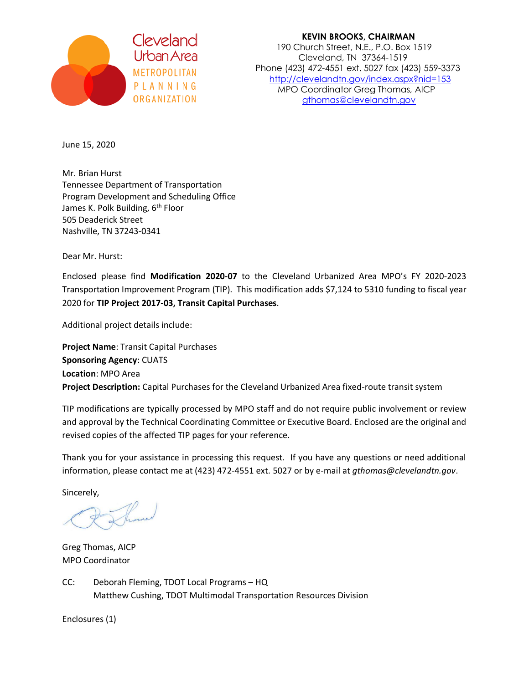

 **KEVIN BROOKS, CHAIRMAN** Cleveland<br>190 Church Street, N.E., P.O. Box 1519<br>190 Cleveland, IN 37364-1519 Cleveland, TN 37364-1519 Phone (423) 472-4551 ext. 5027 fax (423) 559-3373 methologizm,<br>PLANNING MPO Coordinator Greathomas AICP P L A N N I N G<br>
MPO Coordinator Greg Thomas, AICP<br>
athomas@clevelandtn.aov [gthomas@clevelandtn.gov](mailto:gthomas@clevelandtn.gov)

June 15, 2020

Mr. Brian Hurst Tennessee Department of Transportation Program Development and Scheduling Office James K. Polk Building, 6<sup>th</sup> Floor 505 Deaderick Street Nashville, TN 37243-0341

Dear Mr. Hurst:

Enclosed please find **Modification 2020-07** to the Cleveland Urbanized Area MPO's FY 2020-2023 Transportation Improvement Program (TIP). This modification adds \$7,124 to 5310 funding to fiscal year 2020 for **TIP Project 2017-03, Transit Capital Purchases**.

Additional project details include:

**Project Name**: Transit Capital Purchases **Sponsoring Agency**: CUATS **Location**: MPO Area **Project Description:** Capital Purchases for the Cleveland Urbanized Area fixed-route transit system

TIP modifications are typically processed by MPO staff and do not require public involvement or review and approval by the Technical Coordinating Committee or Executive Board. Enclosed are the original and revised copies of the affected TIP pages for your reference.

Thank you for your assistance in processing this request. If you have any questions or need additional information, please contact me at (423) 472-4551 ext. 5027 or by e-mail at *gthomas@clevelandtn.gov*.

Sincerely,

Greg Thomas, AICP MPO Coordinator

CC: Deborah Fleming, TDOT Local Programs – HQ Matthew Cushing, TDOT Multimodal Transportation Resources Division

Enclosures (1)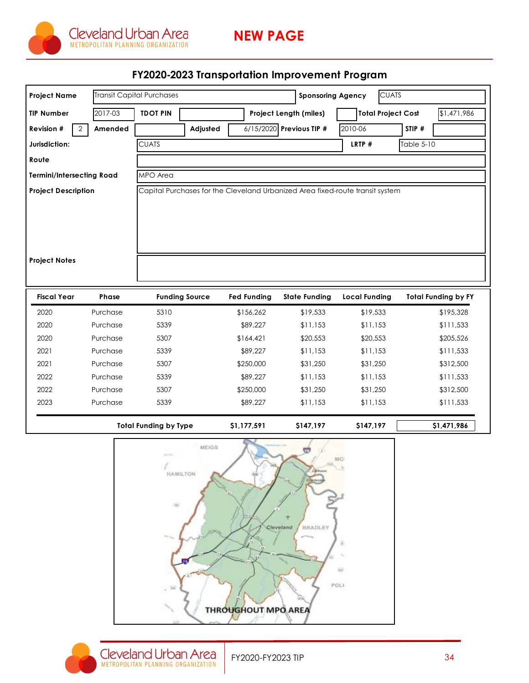

## FY2020-2023 Transportation Improvement Program

| <b>Project Name</b>              |          | <b>Transit Capital Purchases</b> |          |                    | <b>Sponsoring Agency</b> | <b>CUATS</b>                                                                  |                            |
|----------------------------------|----------|----------------------------------|----------|--------------------|--------------------------|-------------------------------------------------------------------------------|----------------------------|
| <b>TIP Number</b>                | 2017-03  | <b>TDOT PIN</b>                  |          |                    | Project Length (miles)   | <b>Total Project Cost</b>                                                     | \$1,471,986                |
| Revision #<br>2                  | Amended  |                                  | Adjusted |                    | 6/15/2020 Previous TIP # | 2010-06                                                                       | STIP #                     |
| Jurisdiction:                    |          | <b>CUATS</b>                     |          |                    |                          | LRTP #                                                                        | Table 5-10                 |
| Route                            |          |                                  |          |                    |                          |                                                                               |                            |
| <b>Termini/Intersecting Road</b> |          | MPO Area                         |          |                    |                          |                                                                               |                            |
| <b>Project Description</b>       |          |                                  |          |                    |                          | Capital Purchases for the Cleveland Urbanized Area fixed-route transit system |                            |
| <b>Project Notes</b>             |          |                                  |          |                    |                          |                                                                               |                            |
| <b>Fiscal Year</b>               | Phase    | <b>Funding Source</b>            |          | <b>Fed Funding</b> | <b>State Funding</b>     | <b>Local Funding</b>                                                          | <b>Total Funding by FY</b> |
|                                  | Purchase | 5310                             |          | \$156,262          | \$19,533                 | \$19,533                                                                      | \$195,328                  |
| 2020                             |          |                                  |          |                    |                          |                                                                               |                            |
| 2020                             | Purchase | 5339                             |          | \$89,227           | \$11,153                 | \$11,153                                                                      | \$111,533                  |
| 2020                             | Purchase | 5307                             |          | \$164,421          | \$20,553                 | \$20,553                                                                      | \$205,526                  |
| 2021                             | Purchase | 5339                             |          | \$89,227           | \$11,153                 | \$11,153                                                                      | \$111,533                  |
| 2021                             | Purchase | 5307                             |          | \$250,000          | \$31,250                 | \$31,250                                                                      | \$312,500                  |
| 2022                             | Purchase | 5339                             |          | \$89,227           | \$11,153                 | \$11,153                                                                      | \$111,533                  |
| 2022                             | Purchase | 5307                             |          | \$250,000          | \$31,250                 | \$31,250                                                                      | \$312,500                  |
| 2023                             | Purchase | 5339                             |          | \$89,227           | \$11,153                 | \$11,153                                                                      | \$111,533                  |
|                                  |          | <b>Total Funding by Type</b>     |          | \$1,177,591        | \$147,197                | \$147,197                                                                     | \$1,471,986                |



THROUGHOUT MPO AREA

BRADLEY

ź

 $\frac{1}{2}$ POLI

estenci